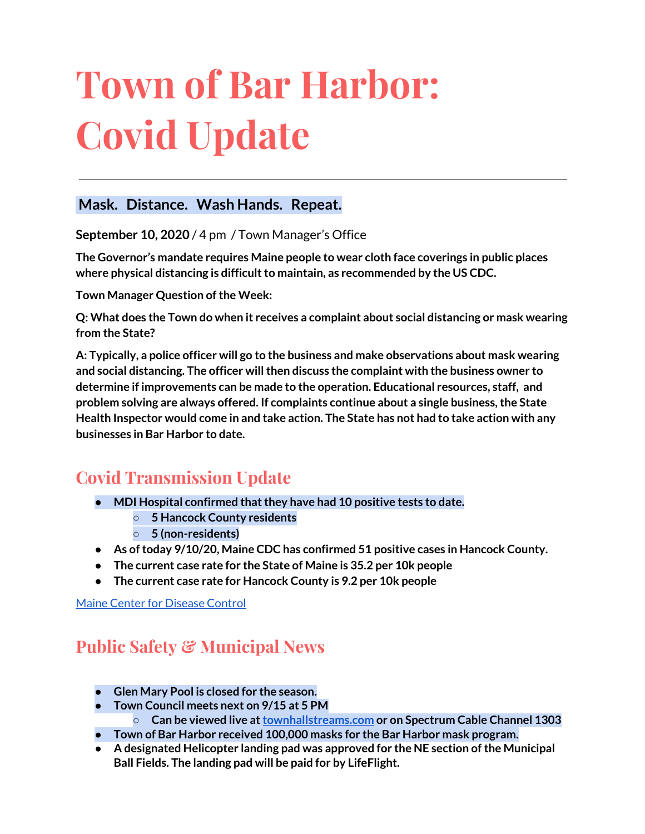# **Town of Bar Harbor: Covid Update**

### **Mask. Distance. Wash Hands. Repeat.**

**September 10, 2020** / 4 pm / Town Manager's Office

**The Governor's mandate requires Maine people to wear cloth face coverings in public places where physical distancing is difficultto maintain, as recommended by the US CDC.**

**Town Manager Question of the Week:** 

**Q: What does the Town do when it receives a complaint about social distancing or mask wearing from the State?**

**A: Typically, a police officer will go to the business and make observations about mask wearing and social distancing. The officer willthen discuss the complaint with the business owner to determine if improvements can be made to the operation. Educational resources, staff, and problem solving are always offered. If complaints continue about a single business,the State Health Inspector would come in and take action. The State has not had to take action with any businesses in Bar Harbor to date.**

## **Covid Transmission Update**

- **• MDI** Hospital confirmed that they have had 10 positive tests to date.
	- **○ 5 Hancock County residents**
	- **○ 5 (non-residents)**
- **● As oftoday 9/10/20, Maine CDC has confirmed 51 positive cases in Hancock County.**
- **● The current case rate for the State of Maine is 35.2 per 10k people**
- **● The current case rate for Hancock County is 9.2 per 10k people**

Maine Center for [Disease](https://www.maine.gov/dhhs/mecdc/infectious-disease/epi/airborne/coronavirus.shtml) Control

## **Public Safety & Municipal News**

- **● Glen Mary Pool is closed for the season.**
- **● Town Council meets next on 9/15 at 5 PM**
	- **○ Can be viewed live at[townhallstreams.com](https://townhallstreams.com/) or on Spectrum Cable Channel 1303**
- **● Town of Bar Harbor received 100,000 masks for the Bar Harbor mask program.**
- **● A designated Helicopter landing pad was approved for the NE section ofthe Municipal Ball Fields. The landing pad will be paid for by LifeFlight.**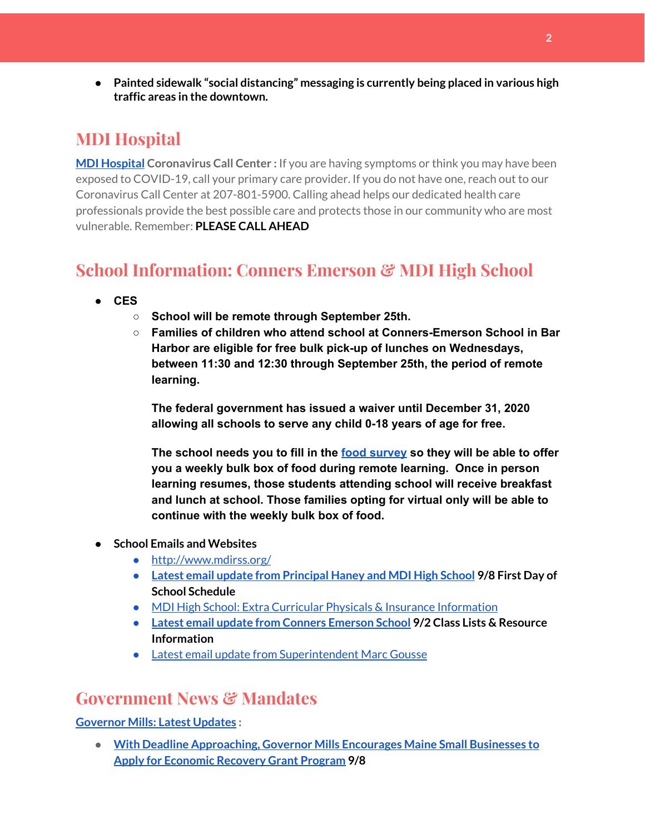**● Painted sidewalk "social distancing" messaging is currently being placed in various high traffic areas in the downtown.**

## **MDI Hospital**

**MDI [Hospital](https://www.mdihospital.org/) Coronavirus Call Center :** If you are having symptoms or think you may have been exposed to COVID-19, call your primary care provider. If you do not have one, reach out to our Coronavirus Call Center at 207-801-5900. Calling ahead helps our dedicated health care professionals provide the best possible care and protects those in our community who are most vulnerable. Remember: **PLEASE CALL AHEAD**

## **School Information: Conners Emerson & MDI High School**

- **● CES**
	- **○ School will be remote through September 25th.**
	- **○ Families of children who attend school at Conners-Emerson School in Bar Harbor are eligible for free bulk pick-up of lunches on Wednesdays, between 11:30 and 12:30 through September 25th, the period of remote learning.**

**The federal government has issued a waiver until December 31, 2020 allowing all schools to serve any child 0-18 years of age for free.**

**The school needs you to fill in th[e](https://docs.google.com/forms/d/e/1FAIpQLSdTpWOAPAZgKXvLasnfWw-SCUGVG_jYZCpWckLoQgcl6IU9Kw/viewform) food [survey](https://docs.google.com/forms/d/e/1FAIpQLSdTpWOAPAZgKXvLasnfWw-SCUGVG_jYZCpWckLoQgcl6IU9Kw/viewform) so they will be able to offer you a weekly bulk box of food during remote learning. Once in person learning resumes, those students attending school will receive breakfast and lunch at school. Those families opting for virtual only will be able to continue with the weekly bulk box of food.**

- **● School Emails and Websites**
	- <http://www.mdirss.org/>
	- **● Latest email update from [Principal](https://docs.google.com/document/d/1OKDsYNtOgV0FI9xAcXwQvenOKLV0S2vBg1o5jtu5CrE/edit?usp=sharing) Haney and MDI High School 9/8 First Day of School Schedule**
	- MDI High School: Extra Curricular Physicals & Insurance [Information](https://wdea.am/mdihs-extracurricular-activity-physicals-and-insurance-information/?trackback=fbshare_mobile&fbclid=IwAR0wxPd824oG1ATLwkeI9s9n2sdpvEiyxeJGgB_mh2BlEJNT_AXiMynkobs)
	- **● Latest email update from Conners [Emerson](https://docs.google.com/document/d/1v3pgkG6Q-9S3gisuUIj4etPVDwgBKl4P00JBkvZr-kk/edit?usp=sharing) School 9/2 Class Lists & Resource Information**
	- Latest email update from [Superintendent](https://docs.google.com/document/d/1fzeCbc8gpTSKmUaDoQH1Avx5PVl-h0reFphXrT1eUNA/edit?usp=sharing) Marc Gousse

## **Government News & Mandates**

#### **[Governor](https://www.maine.gov/governor/mills/) Mills: Latest Updates :**

● **With Deadline [Approaching,](https://www.maine.gov/governor/mills/news/deadline-approaching-governor-mills-encourages-maine-small-businesses-apply-economic-recovery) Governor Mills Encourages Maine Small Businesses to Apply for [Economic](https://www.maine.gov/governor/mills/news/deadline-approaching-governor-mills-encourages-maine-small-businesses-apply-economic-recovery) Recovery Grant Program 9/8**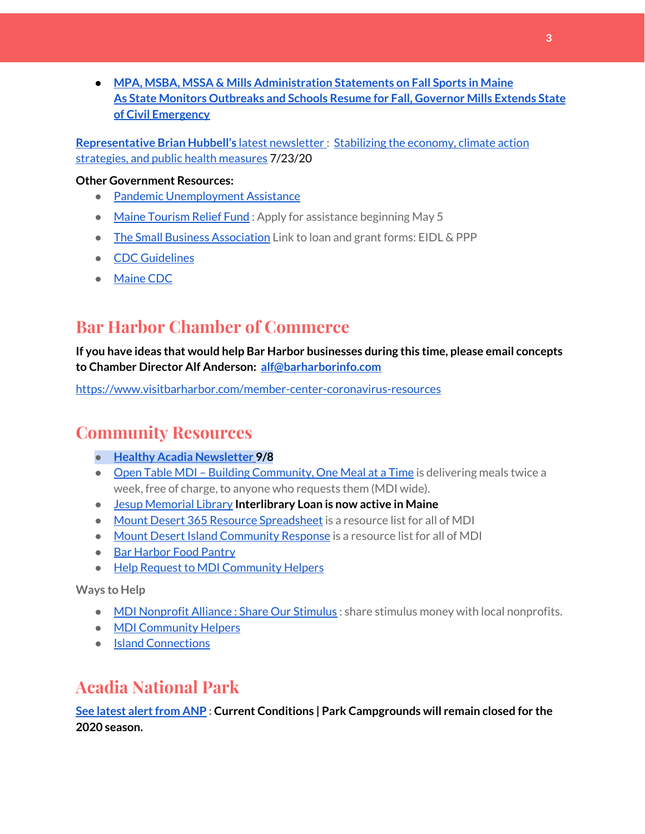**● MPA, MSBA, MSSA & Mills [Administration](https://www.maine.gov/governor/mills/news/mpa-msba-mssa-mills-administration-statements-fall-sports-maine-2020-09-02) Statements on Fall Sports in Maine As State Monitors [Outbreaks](https://www.maine.gov/governor/mills/news/state-monitors-outbreaks-and-schools-resume-fall-governor-mills-extends-state-civil-emergency) and Schools Resume for Fall, Governor Mills Extends State of Civil [Emergency](https://www.maine.gov/governor/mills/news/state-monitors-outbreaks-and-schools-resume-fall-governor-mills-extends-state-civil-emergency)**

**[Representative](http://www.rephubbell.com/) Brian Hubbell's** latest [newsletter](http://www.rephubbell.com/) : [Stabilizing](http://www.rephubbell.com/2020/07/23/stabilizing-the-economy-climate-action-strategies-and-public-health-measures/) the economy, climate action [strategies,](http://www.rephubbell.com/2020/07/23/stabilizing-the-economy-climate-action-strategies-and-public-health-measures/) and public health measures 7/23/20

#### **Other Government Resources:**

- Pandemic [Unemployment](https://www.maine.gov/unemployment/pua/) Assistance
- Maine [Tourism](https://www.mainetourism.com/maine-tourism-relief-fund/) Relief Fund : Apply for assistance beginning May 5
- The Small Business [Association](https://www.sba.gov/) Link to loan and grant forms: EIDL & PPP
- CDC [Guidelines](https://www.cdc.gov/coronavirus/2019-nCoV/index.html)
- [Maine](https://www.maine.gov/dhhs/mecdc/infectious-disease/epi/airborne/coronavirus.shtml#news) CDC

## **Bar Harbor Chamber of Commerce**

**If you have ideas that would help Bar Harbor businesses during this time, please email concepts to Chamber Director Alf Anderson: [alf@barharborinfo.com](mailto:alf@barharborinfo.com)**

<https://www.visitbarharbor.com/member-center-coronavirus-resources>

## **Community Resources**

- **● Healthy Acadia [Newsletter](https://mailchi.mp/healthyacadia.org/september_8_2020?e=e6ccd2569f) [9](https://mailchi.mp/healthyacadia.org/september_8_2020?e=e6ccd2569f)/8**
- Open Table MDI Building [Community,](https://www.opentablemdi.org/) One Meal at a Time is delivering meals twice a week, free of charge, to anyone who requests them (MDI wide).
- Jesup [Memorial](https://jesuplibrary.org/) Library **Interlibrary Loan is now active in Maine**
- Mount Desert 365 Resource [Spreadsheet](https://docs.google.com/spreadsheets/d/1okAx6HSsgXZY9CGH07Dzi6rqe7a6m4dLCPKot2Li7Ek/edit?usp=sharing) is a resource list for all of MDI
- Mount Desert Island [Community](https://www.mdicr.org/) Response is a resource list for all of MDI
- Bar [Harbor](https://www.barharborfoodpantry.org/) Food Pantry
- Help Request to MDI [Community](https://docs.google.com/forms/d/e/1FAIpQLSeZfu0tCcthHc9oL7tPomVRdniYiE7nbT_kkK9iCSRgqDhOvQ/viewform) Helpers

**Ways to Help**

- MDI [Nonprofit](https://sites.google.com/mdina.org/public/sos-mdi?authuser=0) Alliance : Share Our Stimulus : share stimulus money with local nonprofits.
- MDI [Community](https://docs.google.com/forms/d/e/1FAIpQLSe_CJUFdVvwJkmymWRqUeK8bx3m7n4uSOuUPYHqXSAyH2DBoQ/viewform?fbclid=IwAR25hjnWGhnMP0lOWMcBPRBumhtQCJGZO4hlk-T-VjNGZljL1kVX5pWrL6U) Helpers
- Island [Connections](http://islconnections.org/contact-us/)

## **Acadia National Park**

**See latest [alertfrom](https://www.nps.gov/acad/planyourvisit/conditions.htm) ANP : Current Conditions | Park Campgrounds will remain closed for the 2020 season.**